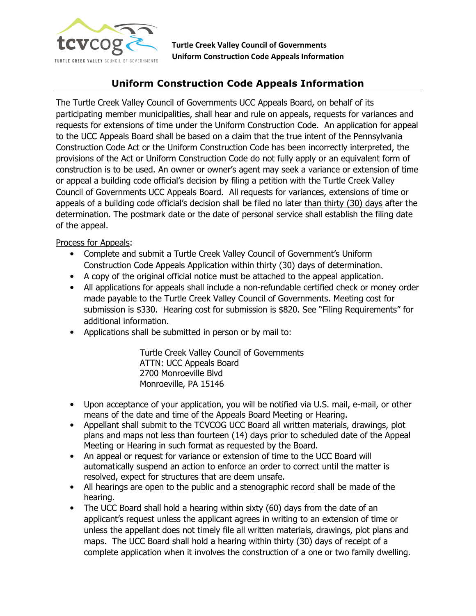

Turtle Creek Valley Council of Governments Uniform Construction Code Appeals Information

## Uniform Construction Code Appeals Information

The Turtle Creek Valley Council of Governments UCC Appeals Board, on behalf of its participating member municipalities, shall hear and rule on appeals, requests for variances and requests for extensions of time under the Uniform Construction Code. An application for appeal to the UCC Appeals Board shall be based on a claim that the true intent of the Pennsylvania Construction Code Act or the Uniform Construction Code has been incorrectly interpreted, the provisions of the Act or Uniform Construction Code do not fully apply or an equivalent form of construction is to be used. An owner or owner's agent may seek a variance or extension of time or appeal a building code official's decision by filing a petition with the Turtle Creek Valley Council of Governments UCC Appeals Board. All requests for variances, extensions of time or appeals of a building code official's decision shall be filed no later than thirty (30) days after the determination. The postmark date or the date of personal service shall establish the filing date of the appeal.

Process for Appeals:

- Complete and submit a Turtle Creek Valley Council of Government's Uniform Construction Code Appeals Application within thirty (30) days of determination.
- A copy of the original official notice must be attached to the appeal application.
- All applications for appeals shall include a non-refundable certified check or money order made payable to the Turtle Creek Valley Council of Governments. Meeting cost for submission is \$330. Hearing cost for submission is \$820. See "Filing Requirements" for additional information.
- Applications shall be submitted in person or by mail to:

Turtle Creek Valley Council of Governments ATTN: UCC Appeals Board 2700 Monroeville Blvd Monroeville, PA 15146

- Upon acceptance of your application, you will be notified via U.S. mail, e-mail, or other means of the date and time of the Appeals Board Meeting or Hearing.
- Appellant shall submit to the TCVCOG UCC Board all written materials, drawings, plot plans and maps not less than fourteen (14) days prior to scheduled date of the Appeal Meeting or Hearing in such format as requested by the Board.
- An appeal or request for variance or extension of time to the UCC Board will automatically suspend an action to enforce an order to correct until the matter is resolved, expect for structures that are deem unsafe.
- All hearings are open to the public and a stenographic record shall be made of the hearing.
- The UCC Board shall hold a hearing within sixty (60) days from the date of an applicant's request unless the applicant agrees in writing to an extension of time or unless the appellant does not timely file all written materials, drawings, plot plans and maps. The UCC Board shall hold a hearing within thirty (30) days of receipt of a complete application when it involves the construction of a one or two family dwelling.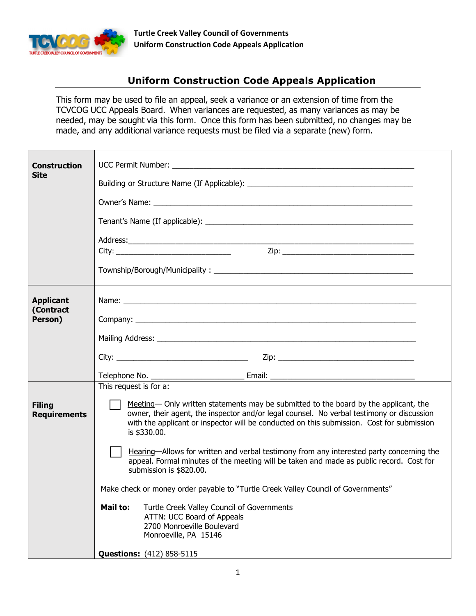

## Uniform Construction Code Appeals Application

This form may be used to file an appeal, seek a variance or an extension of time from the TCVCOG UCC Appeals Board. When variances are requested, as many variances as may be needed, may be sought via this form. Once this form has been submitted, no changes may be made, and any additional variance requests must be filed via a separate (new) form.

| <b>Construction</b>                  |                                                                                                                                                                                                                                                                                                |
|--------------------------------------|------------------------------------------------------------------------------------------------------------------------------------------------------------------------------------------------------------------------------------------------------------------------------------------------|
| <b>Site</b>                          |                                                                                                                                                                                                                                                                                                |
|                                      | Owner's Name: North American Communication of the Communication of the Communication of the Communication of the Communication of the Communication of the Communication of the Communication of the Communication of the Comm                                                                 |
|                                      |                                                                                                                                                                                                                                                                                                |
|                                      |                                                                                                                                                                                                                                                                                                |
|                                      |                                                                                                                                                                                                                                                                                                |
|                                      |                                                                                                                                                                                                                                                                                                |
| <b>Applicant</b><br>(Contract        |                                                                                                                                                                                                                                                                                                |
| Person)                              |                                                                                                                                                                                                                                                                                                |
|                                      |                                                                                                                                                                                                                                                                                                |
|                                      |                                                                                                                                                                                                                                                                                                |
|                                      |                                                                                                                                                                                                                                                                                                |
|                                      | This request is for $a$ :                                                                                                                                                                                                                                                                      |
| <b>Filing</b><br><b>Requirements</b> | Meeting— Only written statements may be submitted to the board by the applicant, the<br>owner, their agent, the inspector and/or legal counsel. No verbal testimony or discussion<br>with the applicant or inspector will be conducted on this submission. Cost for submission<br>is \$330.00. |
|                                      | Hearing-Allows for written and verbal testimony from any interested party concerning the<br>appeal. Formal minutes of the meeting will be taken and made as public record. Cost for<br>submission is \$820.00.                                                                                 |
|                                      | Make check or money order payable to "Turtle Creek Valley Council of Governments"                                                                                                                                                                                                              |
|                                      | Turtle Creek Valley Council of Governments<br>Mail to:<br>ATTN: UCC Board of Appeals<br>2700 Monroeville Boulevard<br>Monroeville, PA 15146                                                                                                                                                    |
|                                      | <b>Questions:</b> (412) 858-5115                                                                                                                                                                                                                                                               |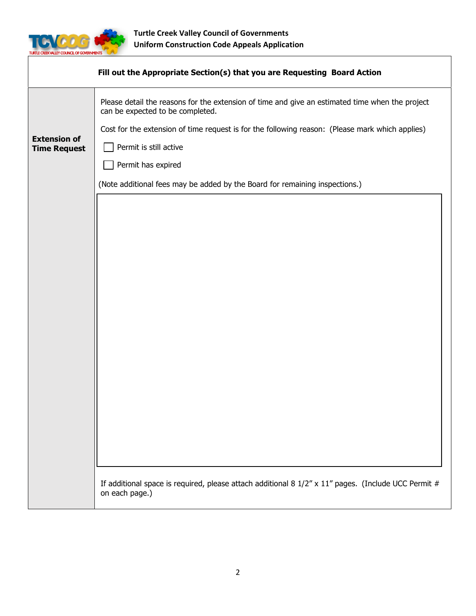

|                                            | Fill out the Appropriate Section(s) that you are Requesting Board Action                                                                                                                                                                                         |
|--------------------------------------------|------------------------------------------------------------------------------------------------------------------------------------------------------------------------------------------------------------------------------------------------------------------|
| <b>Extension of</b><br><b>Time Request</b> | Please detail the reasons for the extension of time and give an estimated time when the project<br>can be expected to be completed.<br>Cost for the extension of time request is for the following reason: (Please mark which applies)<br>Permit is still active |
|                                            | Permit has expired                                                                                                                                                                                                                                               |
|                                            | (Note additional fees may be added by the Board for remaining inspections.)                                                                                                                                                                                      |
|                                            | If additional space is required, please attach additional 8 $1/2''$ x $11''$ pages. (Include UCC Permit #                                                                                                                                                        |
|                                            | on each page.)                                                                                                                                                                                                                                                   |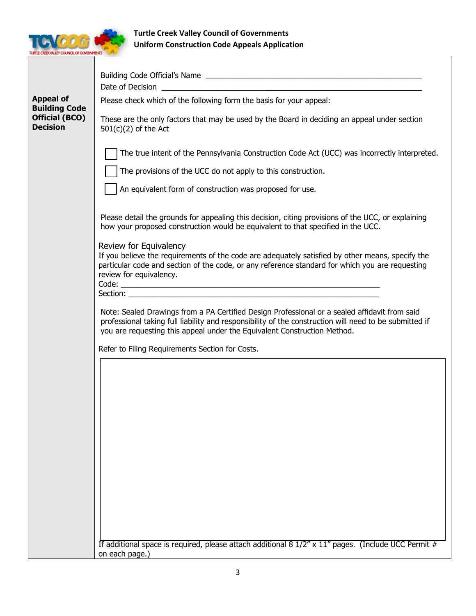

|                                                                                      | Date of Decision                                                                                                                                                                                                                                                                    |
|--------------------------------------------------------------------------------------|-------------------------------------------------------------------------------------------------------------------------------------------------------------------------------------------------------------------------------------------------------------------------------------|
| <b>Appeal of</b><br><b>Building Code</b><br><b>Official (BCO)</b><br><b>Decision</b> | Please check which of the following form the basis for your appeal:                                                                                                                                                                                                                 |
|                                                                                      | These are the only factors that may be used by the Board in deciding an appeal under section<br>$501(c)(2)$ of the Act                                                                                                                                                              |
|                                                                                      | The true intent of the Pennsylvania Construction Code Act (UCC) was incorrectly interpreted.                                                                                                                                                                                        |
|                                                                                      | The provisions of the UCC do not apply to this construction.                                                                                                                                                                                                                        |
|                                                                                      | An equivalent form of construction was proposed for use.                                                                                                                                                                                                                            |
|                                                                                      | Please detail the grounds for appealing this decision, citing provisions of the UCC, or explaining<br>how your proposed construction would be equivalent to that specified in the UCC.                                                                                              |
|                                                                                      | Review for Equivalency<br>If you believe the requirements of the code are adequately satisfied by other means, specify the<br>particular code and section of the code, or any reference standard for which you are requesting<br>review for equivalency.                            |
|                                                                                      |                                                                                                                                                                                                                                                                                     |
|                                                                                      | Note: Sealed Drawings from a PA Certified Design Professional or a sealed affidavit from said<br>professional taking full liability and responsibility of the construction will need to be submitted if<br>you are requesting this appeal under the Equivalent Construction Method. |
|                                                                                      | Refer to Filing Requirements Section for Costs.                                                                                                                                                                                                                                     |
|                                                                                      |                                                                                                                                                                                                                                                                                     |
|                                                                                      |                                                                                                                                                                                                                                                                                     |
|                                                                                      | If additional space is required, please attach additional 8 $1/2''$ x 11" pages. (Include UCC Permit #<br>on each page.)                                                                                                                                                            |